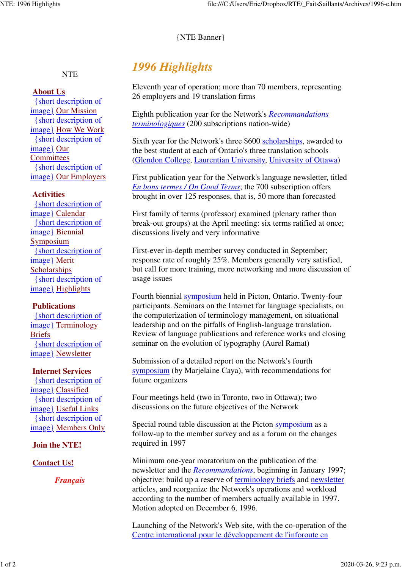#### {NTE Banner}

## **NTE**

#### **About Us**

{short description of image} Our Mission {short description of image} How We Work {short description of image} Our **Committees** {short description of image} Our Employers

#### **Activities**

{short description of image} Calendar {short description of image} Biennial Symposium {short description of image} Merit **Scholarships** {short description of image} Highlights

#### **Publications**

{short description of image} Terminology Briefs {short description of image} Newsletter

#### **Internet Services**

{short description of image} Classified {short description of image} Useful Links {short description of image} Members Only

#### **Join the NTE!**

#### **Contact Us!**

*Français*

# *1996 Highlights*

Eleventh year of operation; more than 70 members, representing 26 employers and 19 translation firms

Eighth publication year for the Network's *Recommandations terminologiques* (200 subscriptions nation-wide)

Sixth year for the Network's three \$600 scholarships, awarded to the best student at each of Ontario's three translation schools (Glendon College, Laurentian University, University of Ottawa)

First publication year for the Network's language newsletter, titled *En bons termes / On Good Terms*; the 700 subscription offers brought in over 125 responses, that is, 50 more than forecasted

First family of terms (professor) examined (plenary rather than break-out groups) at the April meeting: six terms ratified at once; discussions lively and very informative

First-ever in-depth member survey conducted in September; response rate of roughly 25%. Members generally very satisfied, but call for more training, more networking and more discussion of usage issues

Fourth biennial symposium held in Picton, Ontario. Twenty-four participants. Seminars on the Internet for language specialists, on the computerization of terminology management, on situational leadership and on the pitfalls of English-language translation. Review of language publications and reference works and closing seminar on the evolution of typography (Aurel Ramat)

Submission of a detailed report on the Network's fourth symposium (by Marjelaine Caya), with recommendations for future organizers

Four meetings held (two in Toronto, two in Ottawa); two discussions on the future objectives of the Network

Special round table discussion at the Picton symposium as a follow-up to the member survey and as a forum on the changes required in 1997

Minimum one-year moratorium on the publication of the newsletter and the *Recommandations*, beginning in January 1997; objective: build up a reserve of terminology briefs and newsletter articles, and reorganize the Network's operations and workload according to the number of members actually available in 1997. Motion adopted on December 6, 1996.

Launching of the Network's Web site, with the co-operation of the Centre international pour le développement de l'inforoute en